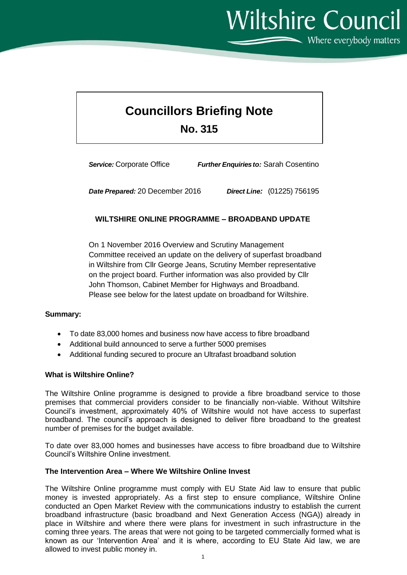**Wiltshire Council**  $\sum$  Where everybody matters

# **Councillors Briefing Note No. 315**

*Service:* Corporate Office *Further Enquiriesto:* Sarah Cosentino

*Date Prepared:* 20 December 2016 *Direct Line:* (01225) 756195

# **WILTSHIRE ONLINE PROGRAMME – BROADBAND UPDATE**

On 1 November 2016 Overview and Scrutiny Management Committee received an update on the delivery of superfast broadband in Wiltshire from Cllr George Jeans, Scrutiny Member representative on the project board. Further information was also provided by Cllr John Thomson, Cabinet Member for Highways and Broadband. Please see below for the latest update on broadband for Wiltshire.

### **Summary:**

- To date 83,000 homes and business now have access to fibre broadband
- Additional build announced to serve a further 5000 premises
- Additional funding secured to procure an Ultrafast broadband solution

#### **What is Wiltshire Online?**

The Wiltshire Online programme is designed to provide a fibre broadband service to those premises that commercial providers consider to be financially non-viable. Without Wiltshire Council's investment, approximately 40% of Wiltshire would not have access to superfast broadband. The council's approach is designed to deliver fibre broadband to the greatest number of premises for the budget available.

To date over 83,000 homes and businesses have access to fibre broadband due to Wiltshire Council's Wiltshire Online investment.

#### **The Intervention Area – Where We Wiltshire Online Invest**

The Wiltshire Online programme must comply with EU State Aid law to ensure that public money is invested appropriately. As a first step to ensure compliance, Wiltshire Online conducted an Open Market Review with the communications industry to establish the current broadband infrastructure (basic broadband and Next Generation Access (NGA)) already in place in Wiltshire and where there were plans for investment in such infrastructure in the coming three years. The areas that were not going to be targeted commercially formed what is known as our 'Intervention Area' and it is where, according to EU State Aid law, we are allowed to invest public money in.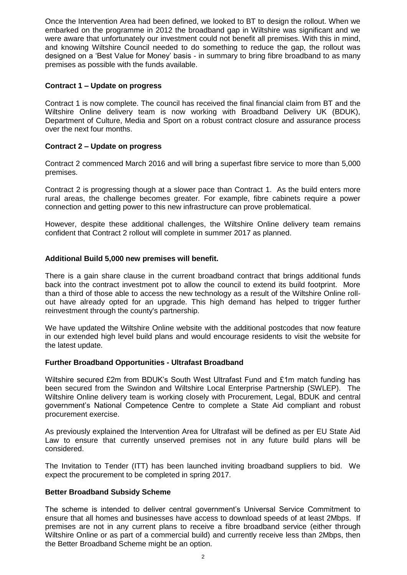Once the Intervention Area had been defined, we looked to BT to design the rollout. When we embarked on the programme in 2012 the broadband gap in Wiltshire was significant and we were aware that unfortunately our investment could not benefit all premises. With this in mind, and knowing Wiltshire Council needed to do something to reduce the gap, the rollout was designed on a 'Best Value for Money' basis - in summary to bring fibre broadband to as many premises as possible with the funds available.

# **Contract 1 – Update on progress**

Contract 1 is now complete. The council has received the final financial claim from BT and the Wiltshire Online delivery team is now working with Broadband Delivery UK (BDUK), Department of Culture, Media and Sport on a robust contract closure and assurance process over the next four months.

# **Contract 2 – Update on progress**

Contract 2 commenced March 2016 and will bring a superfast fibre service to more than 5,000 premises.

Contract 2 is progressing though at a slower pace than Contract 1. As the build enters more rural areas, the challenge becomes greater. For example, fibre cabinets require a power connection and getting power to this new infrastructure can prove problematical.

However, despite these additional challenges, the Wiltshire Online delivery team remains confident that Contract 2 rollout will complete in summer 2017 as planned.

# **Additional Build 5,000 new premises will benefit.**

There is a gain share clause in the current broadband contract that brings additional funds back into the contract investment pot to allow the council to extend its build footprint. More than a third of those able to access the new technology as a result of the Wiltshire Online rollout have already opted for an upgrade. This high demand has helped to trigger further reinvestment through the county's partnership.

We have updated the Wiltshire Online website with the additional postcodes that now feature in our extended high level build plans and would encourage residents to visit the website for the latest update.

### **Further Broadband Opportunities - Ultrafast Broadband**

Wiltshire secured £2m from BDUK's South West Ultrafast Fund and £1m match funding has been secured from the Swindon and Wiltshire Local Enterprise Partnership (SWLEP). The Wiltshire Online delivery team is working closely with Procurement, Legal, BDUK and central government's National Competence Centre to complete a State Aid compliant and robust procurement exercise.

As previously explained the Intervention Area for Ultrafast will be defined as per EU State Aid Law to ensure that currently unserved premises not in any future build plans will be considered.

The Invitation to Tender (ITT) has been launched inviting broadband suppliers to bid. We expect the procurement to be completed in spring 2017.

### **Better Broadband Subsidy Scheme**

The scheme is intended to deliver central government's Universal Service Commitment to ensure that all homes and businesses have access to download speeds of at least 2Mbps. If premises are not in any current plans to receive a fibre broadband service (either through Wiltshire Online or as part of a commercial build) and currently receive less than 2Mbps, then the Better Broadband Scheme might be an option.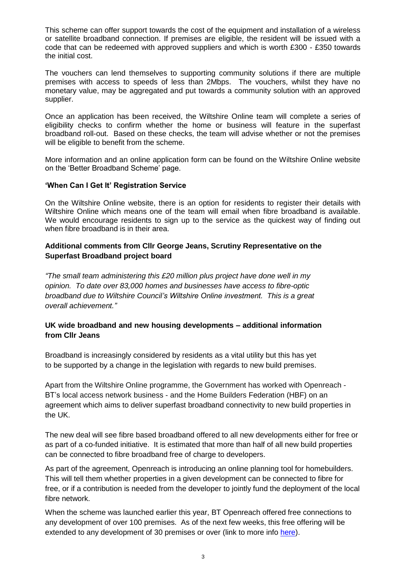This scheme can offer support towards the cost of the equipment and installation of a wireless or satellite broadband connection. If premises are eligible, the resident will be issued with a code that can be redeemed with approved suppliers and which is worth £300 - £350 towards the initial cost.

The vouchers can lend themselves to supporting community solutions if there are multiple premises with access to speeds of less than 2Mbps. The vouchers, whilst they have no monetary value, may be aggregated and put towards a community solution with an approved supplier.

Once an application has been received, the Wiltshire Online team will complete a series of eligibility checks to confirm whether the home or business will feature in the superfast broadband roll-out. Based on these checks, the team will advise whether or not the premises will be eligible to benefit from the scheme.

More information and an online application form can be found on the Wiltshire Online website on the 'Better Broadband Scheme' page.

#### **'When Can I Get It' Registration Service**

On the Wiltshire Online website, there is an option for residents to register their details with Wiltshire Online which means one of the team will email when fibre broadband is available. We would encourage residents to sign up to the service as the quickest way of finding out when fibre broadband is in their area.

# **Additional comments from Cllr George Jeans, Scrutiny Representative on the Superfast Broadband project board**

*"The small team administering this £20 million plus project have done well in my opinion. To date over 83,000 homes and businesses have access to fibre-optic broadband due to Wiltshire Council's Wiltshire Online investment. This is a great overall achievement."*

# **UK wide broadband and new housing developments – additional information from Cllr Jeans**

Broadband is increasingly considered by residents as a vital utility but this has yet to be supported by a change in the legislation with regards to new build premises.

Apart from the Wiltshire Online programme, the Government has worked with Openreach - BT's local access network business - and the Home Builders Federation (HBF) on an agreement which aims to deliver superfast broadband connectivity to new build properties in the UK.

The new deal will see fibre based broadband offered to all new developments either for free or as part of a co-funded initiative. It is estimated that more than half of all new build properties can be connected to fibre broadband free of charge to developers.

As part of the agreement, Openreach is introducing an online planning tool for homebuilders. This will tell them whether properties in a given development can be connected to fibre for free, or if a contribution is needed from the developer to jointly fund the deployment of the local fibre network.

When the scheme was launched earlier this year, BT Openreach offered free connections to any development of over 100 premises. As of the next few weeks, this free offering will be extended to any development of 30 premises or over (link to more info [here\)](http://www.ournetwork.openreach.co.uk/news/page27201625.aspx?news=true#.WCx8BV9VZ00.email).